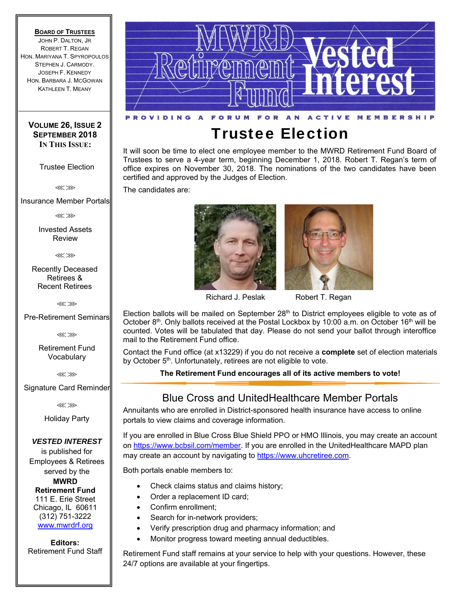#### **BOARD OF TRUSTEES**

JOHN P. DALTON, JR ROBERT T. REGAN HON. MARIYANA T. SPYROPOULOS STEPHEN J. CARMODY. JOSEPH F. KENNEDY HON. BARBARA J. MCGOWAN KATHLEEN T. MEANY

#### **VOLUME 26, ISSUE 2 SEPTEMBER 2018 IN THIS ISSUE:**

Trustee Election

⋘⋙

Insurance Member Portals

⋘⋙

Invested Assets Review

⋘⋙

Recently Deceased Retirees & Recent Retirees

⋘⋙

Pre-Retirement Seminars

⋘⋙

Retirement Fund Vocabulary

⋘⋙

Signature Card Reminder

⋘⋙

Holiday Party

*VESTED INTEREST* is published for Employees & Retirees served by the **MWRD Retirement Fund**  111 E. Erie Street Chicago, IL 60611 (312) 751-3222 www.mwrdrf.org

**Editors:**  Retirement Fund Staff



# Trustee Election

It will soon be time to elect one employee member to the MWRD Retirement Fund Board of Trustees to serve a 4-year term, beginning December 1, 2018. Robert T. Regan's term of office expires on November 30, 2018. The nominations of the two candidates have been certified and approved by the Judges of Election.

The candidates are:





Richard J. Peslak Robert T. Regan

Election ballots will be mailed on September  $28<sup>th</sup>$  to District employees eligible to vote as of October 8<sup>th</sup>. Only ballots received at the Postal Lockbox by 10:00 a.m. on October 16<sup>th</sup> will be counted. Votes will be tabulated that day. Please do not send your ballot through interoffice mail to the Retirement Fund office.

Contact the Fund office (at x13229) if you do not receive a **complete** set of election materials by October 5<sup>th</sup>. Unfortunately, retirees are not eligible to vote.

**The Retirement Fund encourages all of its active members to vote!** 

### Blue Cross and UnitedHealthcare Member Portals

Annuitants who are enrolled in District-sponsored health insurance have access to online portals to view claims and coverage information.

If you are enrolled in Blue Cross Blue Shield PPO or HMO Illinois, you may create an account on https://www.bcbsil.com/member. If you are enrolled in the UnitedHealthcare MAPD plan may create an account by navigating to https://www.uhcretiree.com.

Both portals enable members to:

- Check claims status and claims history;
- Order a replacement ID card;
- Confirm enrollment;
- Search for in-network providers;
- Verify prescription drug and pharmacy information; and
- Monitor progress toward meeting annual deductibles.

Retirement Fund staff remains at your service to help with your questions. However, these 24/7 options are available at your fingertips.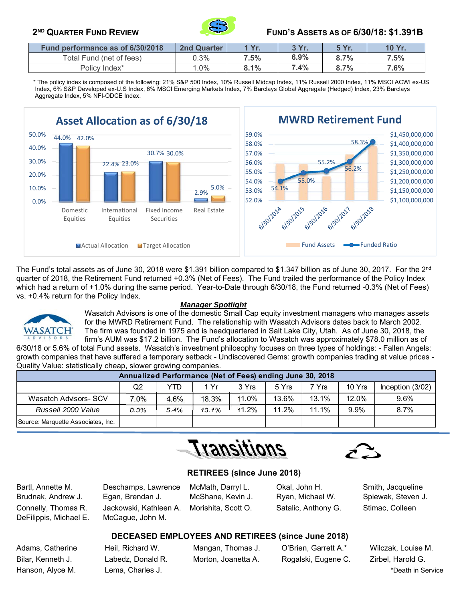

### **2ND QUARTER FUND REVIEW FUND'S ASSETS AS OF 6/30/18: \$1.391B**

| Fund performance as of 6/30/2018 | <b>2nd Quarter</b> | Yr.     | 3 Yr. | <b>5 Yr.</b> | 10 Yr. |
|----------------------------------|--------------------|---------|-------|--------------|--------|
| Total Fund (net of fees)         | 0.3%               | $7.5\%$ | 6.9%  | 8.7%         | 7.5%   |
| Policy Index*                    | $.0\%$             | 8.1%    | 7.4%  | 8.7%         | 7.6%   |

 \* The policy index is composed of the following: 21% S&P 500 Index, 10% Russell Midcap Index, 11% Russell 2000 Index, 11% MSCI ACWI ex-US Index, 6% S&P Developed ex-U.S Index, 6% MSCI Emerging Markets Index, 7% Barclays Global Aggregate (Hedged) Index, 23% Barclays Aggregate Index, 5% NFI-ODCE Index.



The Fund's total assets as of June 30, 2018 were \$1.391 billion compared to \$1.347 billion as of June 30, 2017. For the 2<sup>nd</sup> quarter of 2018, the Retirement Fund returned +0.3% (Net of Fees). The Fund trailed the performance of the Policy Index which had a return of +1.0% during the same period. Year-to-Date through 6/30/18, the Fund returned -0.3% (Net of Fees) vs. +0.4% return for the Policy Index.



#### *Manager Spotlight*

Wasatch Advisors is one of the domestic Small Cap equity investment managers who manages assets for the MWRD Retirement Fund. The relationship with Wasatch Advisors dates back to March 2002. The firm was founded in 1975 and is headquartered in Salt Lake City, Utah. As of June 30, 2018, the firm's AUM was \$17.2 billion. The Fund's allocation to Wasatch was approximately \$78.0 million as of

6/30/18 or 5.6% of total Fund assets. Wasatch's investment philosophy focuses on three types of holdings: - Fallen Angels: growth companies that have suffered a temporary setback - Undiscovered Gems: growth companies trading at value prices - Quality Value: statistically cheap, slower growing companies.

|                                    | Annualized Performance (Net of Fees) ending June 30, 2018 |      |       |       |       |       |        |                  |
|------------------------------------|-----------------------------------------------------------|------|-------|-------|-------|-------|--------|------------------|
|                                    | Q2                                                        | YTD  | 1 Yr  | 3 Yrs | 5 Yrs | 7 Yrs | 10 Yrs | Inception (3/02) |
| Wasatch Advisors- SCV              | $.0\%$                                                    | 4.6% | 18.3% | 11.0% | 13.6% | 13.1% | 12.0%  | 9.6%             |
| Russell 2000 Value                 | 8.3%                                                      | 5.4% | 13.1% | 11.2% | 11.2% | 11.1% | 9.9%   | 8.7%             |
| Source: Marquette Associates, Inc. |                                                           |      |       |       |       |       |        |                  |

Transitions



#### **RETIREES (since June 2018)**

Bartl, Annette M. Deschamps, Lawrence McMath, Darryl L. Okal, John H. Smith, Jacqueline Brudnak, Andrew J. Egan, Brendan J. McShane, Kevin J. Ryan, Michael W. Spiewak, Steven J. Connelly, Thomas R. Jackowski, Kathleen A. Morishita, Scott O. Satalic, Anthony G. Stimac, Colleen

DeFilippis, Michael E. McCague, John M.

#### **DECEASED EMPLOYEES AND RETIREES (since June 2018)**

Adams, Catherine Heil, Richard W. Mangan, Thomas J. O'Brien, Garrett A.\* Wilczak, Louise M. Bilar, Kenneth J. Labedz, Donald R. Morton, Joanetta A. Rogalski, Eugene C. Zirbel, Harold G.

Hanson, Alyce M. Communication Charles J. Communication Charles The Charles The American Charles The American Charles The American Charles The American Charles The American Charles The American Charles The American Charles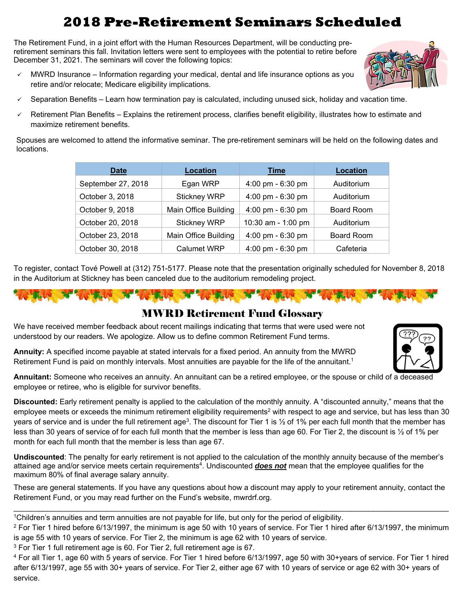# **2018 Pre-Retirement Seminars Scheduled**

The Retirement Fund, in a joint effort with the Human Resources Department, will be conducting preretirement seminars this fall. Invitation letters were sent to employees with the potential to retire before December 31, 2021. The seminars will cover the following topics:

- MWRD Insurance Information regarding your medical, dental and life insurance options as you retire and/or relocate; Medicare eligibility implications.
- Separation Benefits Learn how termination pay is calculated, including unused sick, holiday and vacation time.
- Retirement Plan Benefits Explains the retirement process, clarifies benefit eligibility, illustrates how to estimate and maximize retirement benefits.

Spouses are welcomed to attend the informative seminar. The pre-retirement seminars will be held on the following dates and locations.

| <b>Date</b>        | Location             | <b>Time</b>         | <b>Location</b>   |  |
|--------------------|----------------------|---------------------|-------------------|--|
| September 27, 2018 | Egan WRP             | 4:00 pm - 6:30 pm   | Auditorium        |  |
| October 3, 2018    | <b>Stickney WRP</b>  | 4:00 pm - 6:30 pm   | Auditorium        |  |
| October 9, 2018    | Main Office Building | 4:00 pm - 6:30 pm   | Board Room        |  |
| October 20, 2018   | <b>Stickney WRP</b>  | 10:30 am - 1:00 pm  | Auditorium        |  |
| October 23, 2018   | Main Office Building | 4:00 pm - 6:30 pm   | <b>Board Room</b> |  |
| October 30, 2018   | <b>Calumet WRP</b>   | 4:00 pm - $6:30$ pm | Cafeteria         |  |

To register, contact Tové Powell at (312) 751-5177. Please note that the presentation originally scheduled for November 8, 2018 in the Auditorium at Stickney has been canceled due to the auditorium remodeling project.

## MWRD Retirement Fund Glossary

We have received member feedback about recent mailings indicating that terms that were used were not understood by our readers. We apologize. Allow us to define common Retirement Fund terms.

**Annuity:** A specified income payable at stated intervals for a fixed period. An annuity from the MWRD Retirement Fund is paid on monthly intervals. Most annuities are payable for the life of the annuitant.<sup>1</sup>



**Annuitant:** Someone who receives an annuity. An annuitant can be a retired employee, or the spouse or child of a deceased employee or retiree, who is eligible for survivor benefits.

**Discounted:** Early retirement penalty is applied to the calculation of the monthly annuity. A "discounted annuity," means that the employee meets or exceeds the minimum retirement eligibility requirements<sup>2</sup> with respect to age and service, but has less than 30 years of service and is under the full retirement age<sup>3</sup>. The discount for Tier 1 is 1/2 of 1% per each full month that the member has less than 30 years of service of for each full month that the member is less than age 60. For Tier 2, the discount is ½ of 1% per month for each full month that the member is less than age 67.

**Undiscounted**: The penalty for early retirement is not applied to the calculation of the monthly annuity because of the member's attained age and/or service meets certain requirements<sup>4</sup>. Undiscounted **does not** mean that the employee qualifies for the maximum 80% of final average salary annuity.

These are general statements. If you have any questions about how a discount may apply to your retirement annuity, contact the Retirement Fund, or you may read further on the Fund's website, mwrdrf.org.

<sup>1</sup>Children's annuities and term annuities are not payable for life, but only for the period of eligibility.

 $2$  For Tier 1 hired before 6/13/1997, the minimum is age 50 with 10 years of service. For Tier 1 hired after 6/13/1997, the minimum is age 55 with 10 years of service. For Tier 2, the minimum is age 62 with 10 years of service.

<sup>3</sup> For Tier 1 full retirement age is 60. For Tier 2, full retirement age is 67.

4 For all Tier 1, age 60 with 5 years of service. For Tier 1 hired before 6/13/1997, age 50 with 30+years of service. For Tier 1 hired after 6/13/1997, age 55 with 30+ years of service. For Tier 2, either age 67 with 10 years of service or age 62 with 30+ years of service.